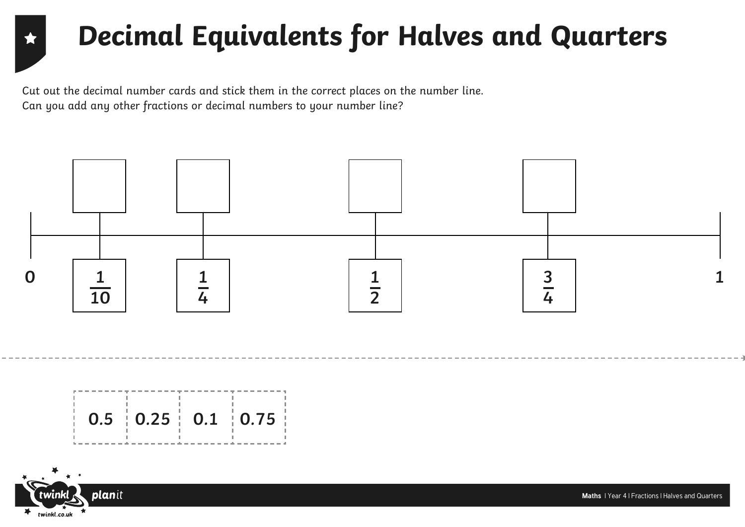## **Decimal Equivalents for Halves and Quarters**

Cut out the decimal number cards and stick them in the correct places on the number line. Can you add any other fractions or decimal numbers to your number line?





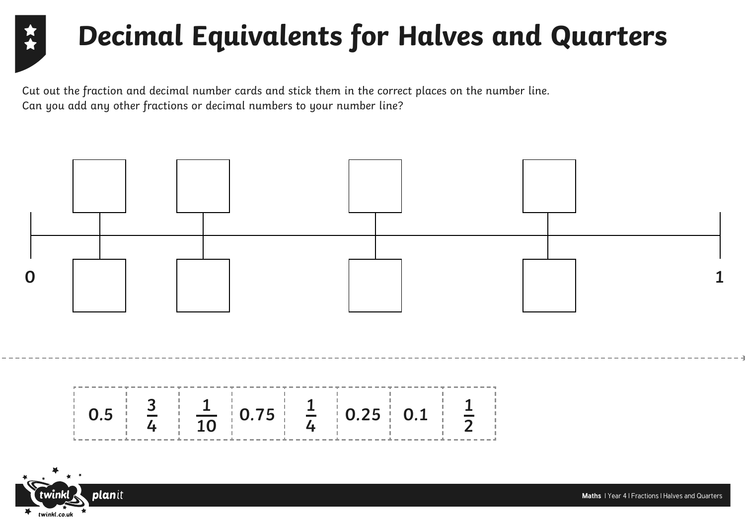## **Decimal Equivalents for Halves and Quarters**

Cut out the fraction and decimal number cards and stick them in the correct places on the number line. Can you add any other fractions or decimal numbers to your number line?



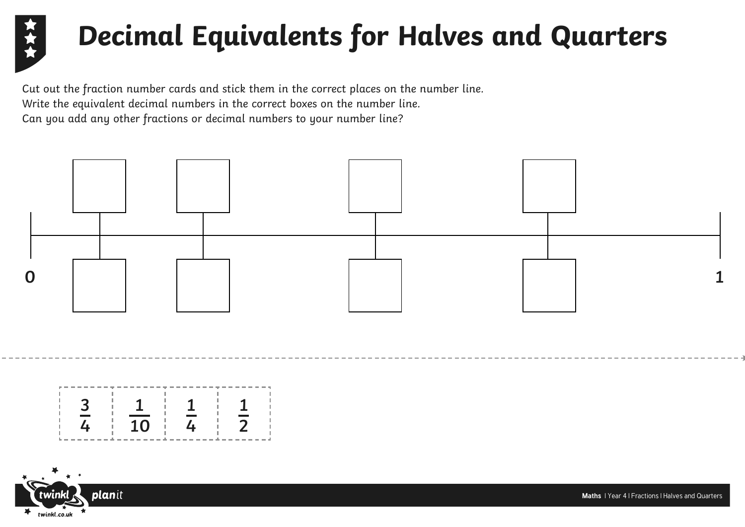

## **Decimal Equivalents for Halves and Quarters**

Cut out the fraction number cards and stick them in the correct places on the number line. Write the equivalent decimal numbers in the correct boxes on the number line. Can you add any other fractions or decimal numbers to your number line?